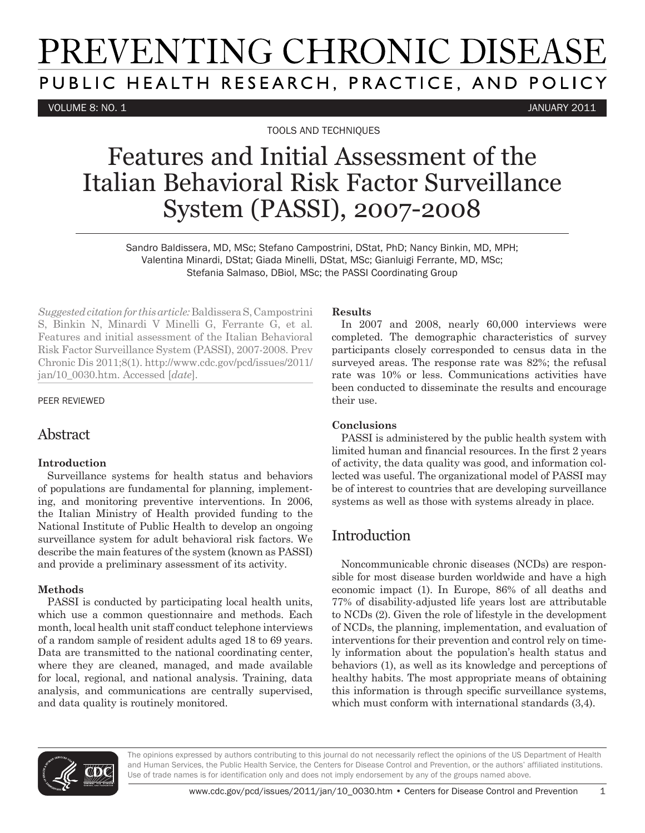# PREVENTING CHRONIC DISEASE PUBLIC HEALTH RESEARCH, PRACTICE, AND POLICY

VOLUME 8: NO. 1 JANUARY 2011

TOOLS AND TECHNIQUES

## Features and Initial Assessment of the Italian Behavioral Risk Factor Surveillance System (PASSI), 2007-2008

Sandro Baldissera, MD, MSc; Stefano Campostrini, DStat, PhD; Nancy Binkin, MD, MPH; Valentina Minardi, DStat; Giada Minelli, DStat, MSc; Gianluigi Ferrante, MD, MSc; Stefania Salmaso, DBiol, MSc; the PASSI Coordinating Group

*Suggested citation for this article:* Baldissera S, Campostrini S, Binkin N, Minardi V Minelli G, Ferrante G, et al. Features and initial assessment of the Italian Behavioral Risk Factor Surveillance System (PASSI), 2007-2008. Prev Chronic Dis 2011;8(1). http://www.cdc.gov/pcd/issues/2011/ jan/10\_0030.htm. Accessed [*date*].

#### PEER REVIEWED

#### Abstract

#### **Introduction**

Surveillance systems for health status and behaviors of populations are fundamental for planning, implementing, and monitoring preventive interventions. In 2006, the Italian Ministry of Health provided funding to the National Institute of Public Health to develop an ongoing surveillance system for adult behavioral risk factors. We describe the main features of the system (known as PASSI) and provide a preliminary assessment of its activity.

#### **Methods**

PASSI is conducted by participating local health units, which use a common questionnaire and methods. Each month, local health unit staff conduct telephone interviews of a random sample of resident adults aged 18 to 69 years. Data are transmitted to the national coordinating center, where they are cleaned, managed, and made available for local, regional, and national analysis. Training, data analysis, and communications are centrally supervised, and data quality is routinely monitored.

#### **Results**

In 2007 and 2008, nearly 60,000 interviews were completed. The demographic characteristics of survey participants closely corresponded to census data in the surveyed areas. The response rate was 82%; the refusal rate was 10% or less. Communications activities have been conducted to disseminate the results and encourage their use.

#### **Conclusions**

PASSI is administered by the public health system with limited human and financial resources. In the first 2 years of activity, the data quality was good, and information collected was useful. The organizational model of PASSI may be of interest to countries that are developing surveillance systems as well as those with systems already in place.

## **Introduction**

Noncommunicable chronic diseases (NCDs) are responsible for most disease burden worldwide and have a high economic impact (1). In Europe, 86% of all deaths and 77% of disability-adjusted life years lost are attributable to NCDs (2). Given the role of lifestyle in the development of NCDs, the planning, implementation, and evaluation of interventions for their prevention and control rely on timely information about the population's health status and behaviors (1), as well as its knowledge and perceptions of healthy habits. The most appropriate means of obtaining this information is through specific surveillance systems, which must conform with international standards (3,4).



The opinions expressed by authors contributing to this journal do not necessarily reflect the opinions of the US Department of Health and Human Services, the Public Health Service, the Centers for Disease Control and Prevention, or the authors' affiliated institutions. Use of trade names is for identification only and does not imply endorsement by any of the groups named above.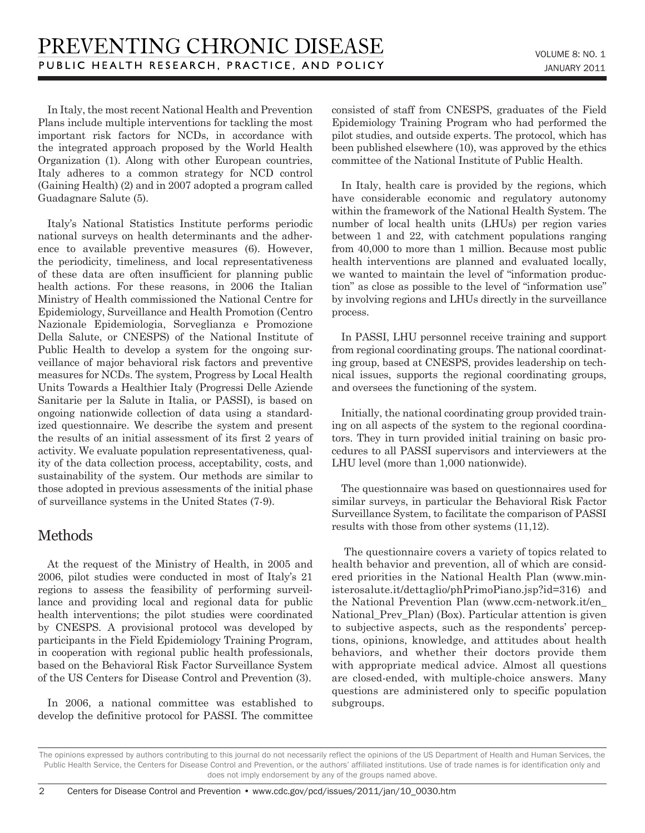In Italy, the most recent National Health and Prevention Plans include multiple interventions for tackling the most important risk factors for NCDs, in accordance with the integrated approach proposed by the World Health Organization (1). Along with other European countries, Italy adheres to a common strategy for NCD control (Gaining Health) (2) and in 2007 adopted a program called Guadagnare Salute (5).

Italy's National Statistics Institute performs periodic national surveys on health determinants and the adherence to available preventive measures (6). However, the periodicity, timeliness, and local representativeness of these data are often insufficient for planning public health actions. For these reasons, in 2006 the Italian Ministry of Health commissioned the National Centre for Epidemiology, Surveillance and Health Promotion (Centro Nazionale Epidemiologia, Sorveglianza e Promozione Della Salute, or CNESPS) of the National Institute of Public Health to develop a system for the ongoing surveillance of major behavioral risk factors and preventive measures for NCDs. The system, Progress by Local Health Units Towards a Healthier Italy (Progressi Delle Aziende Sanitarie per la Salute in Italia, or PASSI), is based on ongoing nationwide collection of data using a standardized questionnaire. We describe the system and present the results of an initial assessment of its first 2 years of activity. We evaluate population representativeness, quality of the data collection process, acceptability, costs, and sustainability of the system. Our methods are similar to those adopted in previous assessments of the initial phase of surveillance systems in the United States (7-9).

## Methods

At the request of the Ministry of Health, in 2005 and 2006, pilot studies were conducted in most of Italy's 21 regions to assess the feasibility of performing surveillance and providing local and regional data for public health interventions; the pilot studies were coordinated by CNESPS. A provisional protocol was developed by participants in the Field Epidemiology Training Program, in cooperation with regional public health professionals, based on the Behavioral Risk Factor Surveillance System of the US Centers for Disease Control and Prevention (3).

In 2006, a national committee was established to develop the definitive protocol for PASSI. The committee consisted of staff from CNESPS, graduates of the Field Epidemiology Training Program who had performed the pilot studies, and outside experts. The protocol, which has been published elsewhere (10), was approved by the ethics committee of the National Institute of Public Health.

In Italy, health care is provided by the regions, which have considerable economic and regulatory autonomy within the framework of the National Health System. The number of local health units (LHUs) per region varies between 1 and 22, with catchment populations ranging from 40,000 to more than 1 million. Because most public health interventions are planned and evaluated locally, we wanted to maintain the level of "information production" as close as possible to the level of "information use" by involving regions and LHUs directly in the surveillance process.

In PASSI, LHU personnel receive training and support from regional coordinating groups. The national coordinating group, based at CNESPS, provides leadership on technical issues, supports the regional coordinating groups, and oversees the functioning of the system.

Initially, the national coordinating group provided training on all aspects of the system to the regional coordinators. They in turn provided initial training on basic procedures to all PASSI supervisors and interviewers at the LHU level (more than 1,000 nationwide).

The questionnaire was based on questionnaires used for similar surveys, in particular the Behavioral Risk Factor Surveillance System, to facilitate the comparison of PASSI results with those from other systems (11,12).

 The questionnaire covers a variety of topics related to health behavior and prevention, all of which are considered priorities in the National Health Plan (www.ministerosalute.it/dettaglio/phPrimoPiano.jsp?id=316) and the National Prevention Plan (www.ccm-network.it/en\_ National Prev Plan) (Box). Particular attention is given to subjective aspects, such as the respondents' perceptions, opinions, knowledge, and attitudes about health behaviors, and whether their doctors provide them with appropriate medical advice. Almost all questions are closed-ended, with multiple-choice answers. Many questions are administered only to specific population subgroups.

The opinions expressed by authors contributing to this journal do not necessarily reflect the opinions of the US Department of Health and Human Services, the Public Health Service, the Centers for Disease Control and Prevention, or the authors' affiliated institutions. Use of trade names is for identification only and does not imply endorsement by any of the groups named above.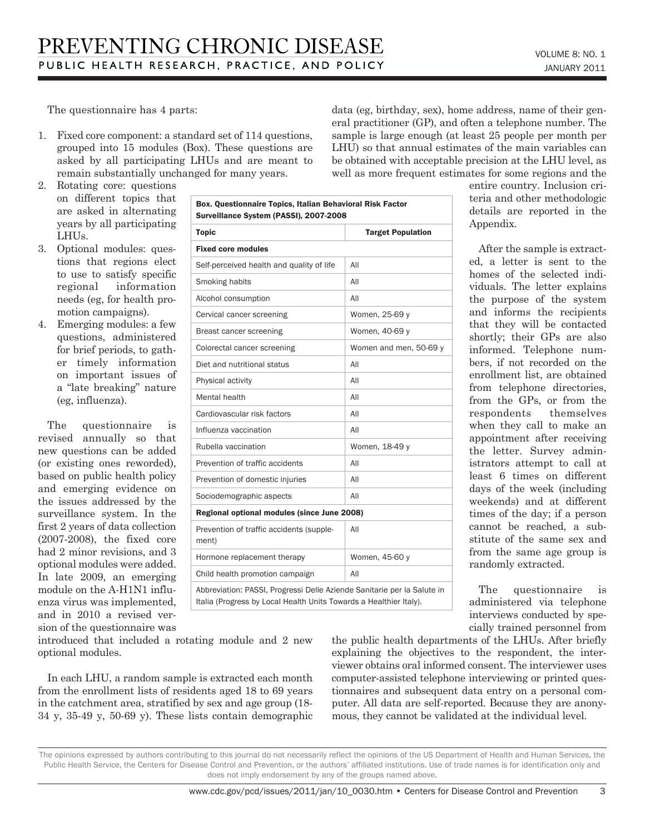The questionnaire has 4 parts:

1. Fixed core component: a standard set of 114 questions, grouped into 15 modules (Box). These questions are asked by all participating LHUs and are meant to remain substantially unchanged for many years.

data (eg, birthday, sex), home address, name of their general practitioner (GP), and often a telephone number. The sample is large enough (at least 25 people per month per LHU) so that annual estimates of the main variables can be obtained with acceptable precision at the LHU level, as well as more frequent estimates for some regions and the

- 2. Rotating core: questions on different topics that are asked in alternating years by all participating LHUs.
- 3. Optional modules: questions that regions elect to use to satisfy specific regional information needs (eg, for health promotion campaigns).
- 4. Emerging modules: a few questions, administered for brief periods, to gather timely information on important issues of a "late breaking" nature (eg, influenza).

The questionnaire is revised annually so that new questions can be added (or existing ones reworded), based on public health policy and emerging evidence on the issues addressed by the surveillance system. In the first 2 years of data collection (2007-2008), the fixed core had 2 minor revisions, and 3 optional modules were added. In late 2009, an emerging module on the A-H1N1 influenza virus was implemented, and in 2010 a revised version of the questionnaire was

| <b>Topic</b>                                      | <b>Target Population</b> |
|---------------------------------------------------|--------------------------|
| <b>Fixed core modules</b>                         |                          |
| Self-perceived health and quality of life         | All                      |
| Smoking habits                                    | All                      |
| Alcohol consumption                               | All                      |
| Cervical cancer screening                         | Women, 25-69 y           |
| Breast cancer screening                           | Women, 40-69 y           |
| Colorectal cancer screening                       | Women and men, 50-69 y   |
| Diet and nutritional status                       | All                      |
| Physical activity                                 | All                      |
| Mental health                                     | AII                      |
| Cardiovascular risk factors                       | All                      |
| Influenza vaccination                             | All                      |
| Rubella vaccination                               | Women, 18-49 y           |
| Prevention of traffic accidents                   | All                      |
| Prevention of domestic injuries                   | All                      |
| Sociodemographic aspects                          | All                      |
| Regional optional modules (since June 2008)       |                          |
| Prevention of traffic accidents (supple-<br>ment) | All                      |
| Hormone replacement therapy                       | Women, 45-60 y           |
| Child health promotion campaign                   | All                      |

entire country. Inclusion criteria and other methodologic details are reported in the Appendix.

After the sample is extracted, a letter is sent to the homes of the selected individuals. The letter explains the purpose of the system and informs the recipients that they will be contacted shortly; their GPs are also informed. Telephone numbers, if not recorded on the enrollment list, are obtained from telephone directories, from the GPs, or from the respondents themselves when they call to make an appointment after receiving the letter. Survey administrators attempt to call at least 6 times on different days of the week (including weekends) and at different times of the day; if a person cannot be reached, a substitute of the same sex and from the same age group is randomly extracted.

The questionnaire is administered via telephone interviews conducted by specially trained personnel from

introduced that included a rotating module and 2 new optional modules.

In each LHU, a random sample is extracted each month from the enrollment lists of residents aged 18 to 69 years in the catchment area, stratified by sex and age group (18- 34 y, 35-49 y, 50-69 y). These lists contain demographic the public health departments of the LHUs. After briefly explaining the objectives to the respondent, the interviewer obtains oral informed consent. The interviewer uses computer-assisted telephone interviewing or printed questionnaires and subsequent data entry on a personal computer. All data are self-reported. Because they are anonymous, they cannot be validated at the individual level.

The opinions expressed by authors contributing to this journal do not necessarily reflect the opinions of the US Department of Health and Human Services, the Public Health Service, the Centers for Disease Control and Prevention, or the authors' affiliated institutions. Use of trade names is for identification only and does not imply endorsement by any of the groups named above.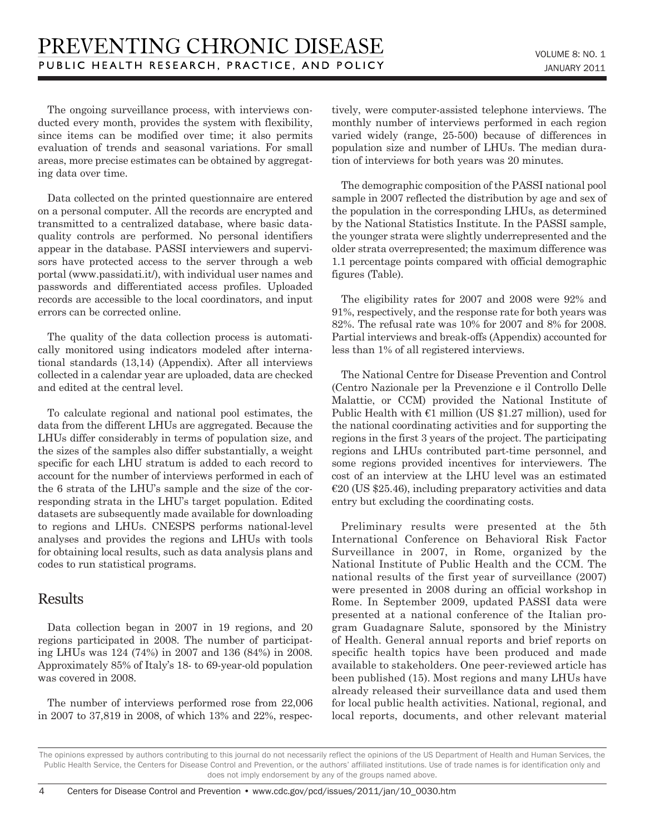The ongoing surveillance process, with interviews conducted every month, provides the system with flexibility, since items can be modified over time; it also permits evaluation of trends and seasonal variations. For small areas, more precise estimates can be obtained by aggregating data over time.

Data collected on the printed questionnaire are entered on a personal computer. All the records are encrypted and transmitted to a centralized database, where basic dataquality controls are performed. No personal identifiers appear in the database. PASSI interviewers and supervisors have protected access to the server through a web portal (www.passidati.it/), with individual user names and passwords and differentiated access profiles. Uploaded records are accessible to the local coordinators, and input errors can be corrected online.

The quality of the data collection process is automatically monitored using indicators modeled after international standards (13,14) (Appendix). After all interviews collected in a calendar year are uploaded, data are checked and edited at the central level.

To calculate regional and national pool estimates, the data from the different LHUs are aggregated. Because the LHUs differ considerably in terms of population size, and the sizes of the samples also differ substantially, a weight specific for each LHU stratum is added to each record to account for the number of interviews performed in each of the 6 strata of the LHU's sample and the size of the corresponding strata in the LHU's target population. Edited datasets are subsequently made available for downloading to regions and LHUs. CNESPS performs national-level analyses and provides the regions and LHUs with tools for obtaining local results, such as data analysis plans and codes to run statistical programs.

#### Results

Data collection began in 2007 in 19 regions, and 20 regions participated in 2008. The number of participating LHUs was 124 (74%) in 2007 and 136 (84%) in 2008. Approximately 85% of Italy's 18- to 69-year-old population was covered in 2008.

The number of interviews performed rose from 22,006 in 2007 to 37,819 in 2008, of which 13% and 22%, respectively, were computer-assisted telephone interviews. The monthly number of interviews performed in each region varied widely (range, 25-500) because of differences in population size and number of LHUs. The median duration of interviews for both years was 20 minutes.

The demographic composition of the PASSI national pool sample in 2007 reflected the distribution by age and sex of the population in the corresponding LHUs, as determined by the National Statistics Institute. In the PASSI sample, the younger strata were slightly underrepresented and the older strata overrepresented; the maximum difference was 1.1 percentage points compared with official demographic figures (Table).

The eligibility rates for 2007 and 2008 were 92% and 91%, respectively, and the response rate for both years was 82%. The refusal rate was 10% for 2007 and 8% for 2008. Partial interviews and break-offs (Appendix) accounted for less than 1% of all registered interviews.

The National Centre for Disease Prevention and Control (Centro Nazionale per la Prevenzione e il Controllo Delle Malattie, or CCM) provided the National Institute of Public Health with  $\epsilon$ 1 million (US \$1.27 million), used for the national coordinating activities and for supporting the regions in the first 3 years of the project. The participating regions and LHUs contributed part-time personnel, and some regions provided incentives for interviewers. The cost of an interview at the LHU level was an estimated  $\epsilon$ 20 (US \$25.46), including preparatory activities and data entry but excluding the coordinating costs.

Preliminary results were presented at the 5th International Conference on Behavioral Risk Factor Surveillance in 2007, in Rome, organized by the National Institute of Public Health and the CCM. The national results of the first year of surveillance (2007) were presented in 2008 during an official workshop in Rome. In September 2009, updated PASSI data were presented at a national conference of the Italian program Guadagnare Salute, sponsored by the Ministry of Health. General annual reports and brief reports on specific health topics have been produced and made available to stakeholders. One peer-reviewed article has been published (15). Most regions and many LHUs have already released their surveillance data and used them for local public health activities. National, regional, and local reports, documents, and other relevant material

The opinions expressed by authors contributing to this journal do not necessarily reflect the opinions of the US Department of Health and Human Services, the Public Health Service, the Centers for Disease Control and Prevention, or the authors' affiliated institutions. Use of trade names is for identification only and does not imply endorsement by any of the groups named above.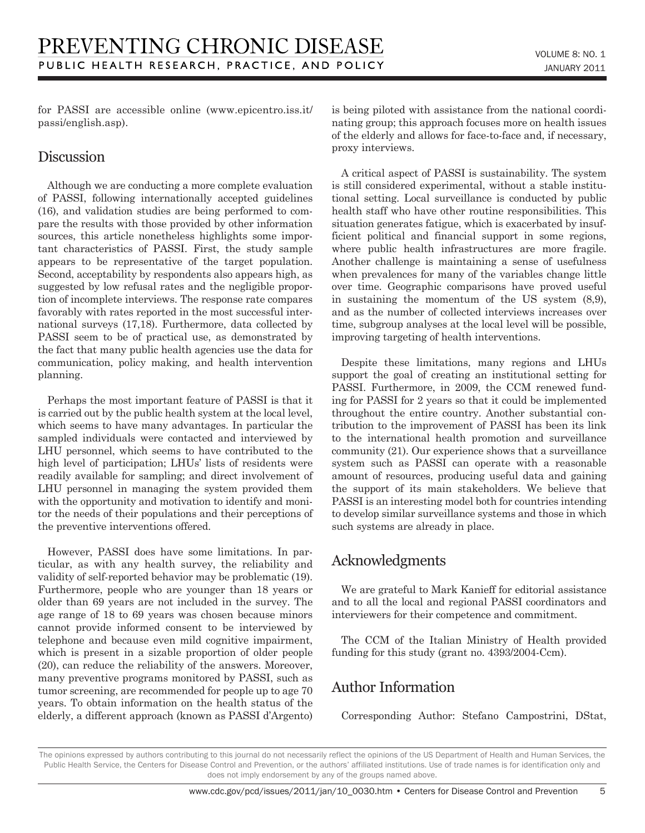for PASSI are accessible online (www.epicentro.iss.it/ passi/english.asp).

#### Discussion

Although we are conducting a more complete evaluation of PASSI, following internationally accepted guidelines (16), and validation studies are being performed to compare the results with those provided by other information sources, this article nonetheless highlights some important characteristics of PASSI. First, the study sample appears to be representative of the target population. Second, acceptability by respondents also appears high, as suggested by low refusal rates and the negligible proportion of incomplete interviews. The response rate compares favorably with rates reported in the most successful international surveys (17,18). Furthermore, data collected by PASSI seem to be of practical use, as demonstrated by the fact that many public health agencies use the data for communication, policy making, and health intervention planning.

Perhaps the most important feature of PASSI is that it is carried out by the public health system at the local level, which seems to have many advantages. In particular the sampled individuals were contacted and interviewed by LHU personnel, which seems to have contributed to the high level of participation; LHUs' lists of residents were readily available for sampling; and direct involvement of LHU personnel in managing the system provided them with the opportunity and motivation to identify and monitor the needs of their populations and their perceptions of the preventive interventions offered.

However, PASSI does have some limitations. In particular, as with any health survey, the reliability and validity of self-reported behavior may be problematic (19). Furthermore, people who are younger than 18 years or older than 69 years are not included in the survey. The age range of 18 to 69 years was chosen because minors cannot provide informed consent to be interviewed by telephone and because even mild cognitive impairment, which is present in a sizable proportion of older people (20), can reduce the reliability of the answers. Moreover, many preventive programs monitored by PASSI, such as tumor screening, are recommended for people up to age 70 years. To obtain information on the health status of the elderly, a different approach (known as PASSI d'Argento) is being piloted with assistance from the national coordinating group; this approach focuses more on health issues of the elderly and allows for face-to-face and, if necessary, proxy interviews.

A critical aspect of PASSI is sustainability. The system is still considered experimental, without a stable institutional setting. Local surveillance is conducted by public health staff who have other routine responsibilities. This situation generates fatigue, which is exacerbated by insufficient political and financial support in some regions, where public health infrastructures are more fragile. Another challenge is maintaining a sense of usefulness when prevalences for many of the variables change little over time. Geographic comparisons have proved useful in sustaining the momentum of the US system (8,9), and as the number of collected interviews increases over time, subgroup analyses at the local level will be possible, improving targeting of health interventions.

Despite these limitations, many regions and LHUs support the goal of creating an institutional setting for PASSI. Furthermore, in 2009, the CCM renewed funding for PASSI for 2 years so that it could be implemented throughout the entire country. Another substantial contribution to the improvement of PASSI has been its link to the international health promotion and surveillance community (21). Our experience shows that a surveillance system such as PASSI can operate with a reasonable amount of resources, producing useful data and gaining the support of its main stakeholders. We believe that PASSI is an interesting model both for countries intending to develop similar surveillance systems and those in which such systems are already in place.

## Acknowledgments

We are grateful to Mark Kanieff for editorial assistance and to all the local and regional PASSI coordinators and interviewers for their competence and commitment.

The CCM of the Italian Ministry of Health provided funding for this study (grant no. 4393/2004-Ccm).

## Author Information

Corresponding Author: Stefano Campostrini, DStat,

The opinions expressed by authors contributing to this journal do not necessarily reflect the opinions of the US Department of Health and Human Services, the Public Health Service, the Centers for Disease Control and Prevention, or the authors' affiliated institutions. Use of trade names is for identification only and does not imply endorsement by any of the groups named above.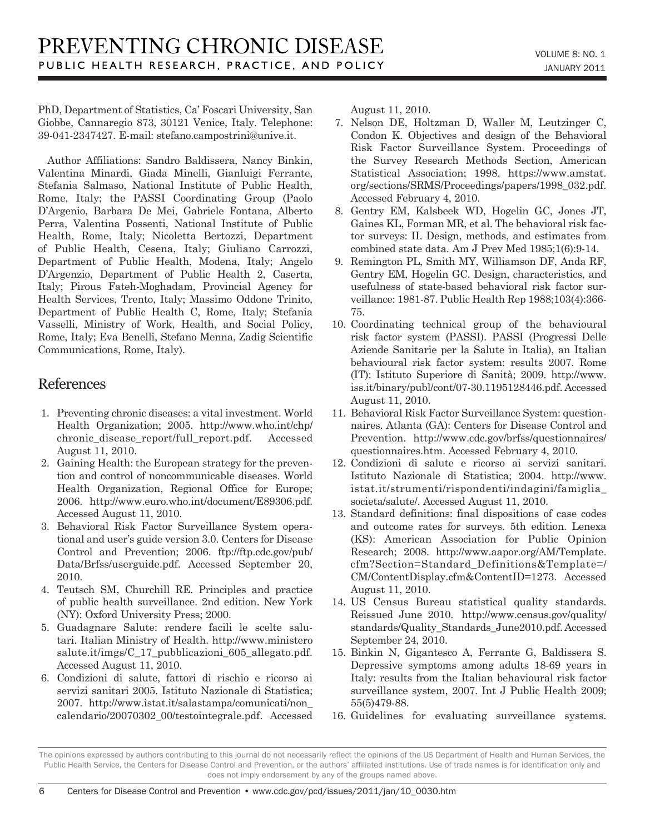PhD, Department of Statistics, Ca' Foscari University, San Giobbe, Cannaregio 873, 30121 Venice, Italy. Telephone: 39-041-2347427. E-mail: stefano.campostrini@unive.it.

Author Affiliations: Sandro Baldissera, Nancy Binkin, Valentina Minardi, Giada Minelli, Gianluigi Ferrante, Stefania Salmaso, National Institute of Public Health, Rome, Italy; the PASSI Coordinating Group (Paolo D'Argenio, Barbara De Mei, Gabriele Fontana, Alberto Perra, Valentina Possenti, National Institute of Public Health, Rome, Italy; Nicoletta Bertozzi, Department of Public Health, Cesena, Italy; Giuliano Carrozzi, Department of Public Health, Modena, Italy; Angelo D'Argenzio, Department of Public Health 2, Caserta, Italy; Pirous Fateh-Moghadam, Provincial Agency for Health Services, Trento, Italy; Massimo Oddone Trinito, Department of Public Health C, Rome, Italy; Stefania Vasselli, Ministry of Work, Health, and Social Policy, Rome, Italy; Eva Benelli, Stefano Menna, Zadig Scientific Communications, Rome, Italy).

#### References

- 1. Preventing chronic diseases: a vital investment. World Health Organization; 2005. http://www.who.int/chp/ chronic disease report/full report.pdf. Accessed August 11, 2010.
- 2. Gaining Health: the European strategy for the prevention and control of noncommunicable diseases. World Health Organization, Regional Office for Europe; 2006. http://www.euro.who.int/document/E89306.pdf. Accessed August 11, 2010.
- 3. Behavioral Risk Factor Surveillance System operational and user's guide version 3.0. Centers for Disease Control and Prevention; 2006. ftp://ftp.cdc.gov/pub/ Data/Brfss/userguide.pdf. Accessed September 20, 2010.
- 4. Teutsch SM, Churchill RE. Principles and practice of public health surveillance. 2nd edition. New York (NY): Oxford University Press; 2000.
- 5. Guadagnare Salute: rendere facili le scelte salutari. Italian Ministry of Health. http://www.ministero salute.it/imgs/C\_17\_pubblicazioni\_605\_allegato.pdf. Accessed August 11, 2010.
- 6. Condizioni di salute, fattori di rischio e ricorso ai servizi sanitari 2005. Istituto Nazionale di Statistica; 2007. http://www.istat.it/salastampa/comunicati/non\_ calendario/20070302\_00/testointegrale.pdf. Accessed

August 11, 2010.

- 7. Nelson DE, Holtzman D, Waller M, Leutzinger C, Condon K. Objectives and design of the Behavioral Risk Factor Surveillance System. Proceedings of the Survey Research Methods Section, American Statistical Association; 1998. https://www.amstat. org/sections/SRMS/Proceedings/papers/1998\_032.pdf. Accessed February 4, 2010.
- 8. Gentry EM, Kalsbeek WD, Hogelin GC, Jones JT, Gaines KL, Forman MR, et al. The behavioral risk factor surveys: II. Design, methods, and estimates from combined state data. Am J Prev Med 1985;1(6):9-14.
- 9. Remington PL, Smith MY, Williamson DF, Anda RF, Gentry EM, Hogelin GC. Design, characteristics, and usefulness of state-based behavioral risk factor surveillance: 1981-87. Public Health Rep 1988;103(4):366- 75.
- 10. Coordinating technical group of the behavioural risk factor system (PASSI). PASSI (Progressi Delle Aziende Sanitarie per la Salute in Italia), an Italian behavioural risk factor system: results 2007. Rome (IT): Istituto Superiore di Sanità; 2009. http://www. iss.it/binary/publ/cont/07-30.1195128446.pdf. Accessed August 11, 2010.
- 11. Behavioral Risk Factor Surveillance System: questionnaires. Atlanta (GA): Centers for Disease Control and Prevention. http://www.cdc.gov/brfss/questionnaires/ questionnaires.htm. Accessed February 4, 2010.
- 12. Condizioni di salute e ricorso ai servizi sanitari. Istituto Nazionale di Statistica; 2004. http://www. istat.it/strumenti/rispondenti/indagini/famiglia\_ societa/salute/. Accessed August 11, 2010.
- 13. Standard definitions: final dispositions of case codes and outcome rates for surveys. 5th edition. Lenexa (KS): American Association for Public Opinion Research; 2008. http://www.aapor.org/AM/Template. cfm?Section=Standard\_Definitions&Template=/ CM/ContentDisplay.cfm&ContentID=1273. Accessed August 11, 2010.
- 14. US Census Bureau statistical quality standards. Reissued June 2010. http://www.census.gov/quality/ standards/Quality\_Standards\_June2010.pdf. Accessed September 24, 2010.
- 15. Binkin N, Gigantesco A, Ferrante G, Baldissera S. Depressive symptoms among adults 18-69 years in Italy: results from the Italian behavioural risk factor surveillance system, 2007. Int J Public Health 2009; 55(5)479-88.
- 16. Guidelines for evaluating surveillance systems.

The opinions expressed by authors contributing to this journal do not necessarily reflect the opinions of the US Department of Health and Human Services, the Public Health Service, the Centers for Disease Control and Prevention, or the authors' affiliated institutions. Use of trade names is for identification only and does not imply endorsement by any of the groups named above.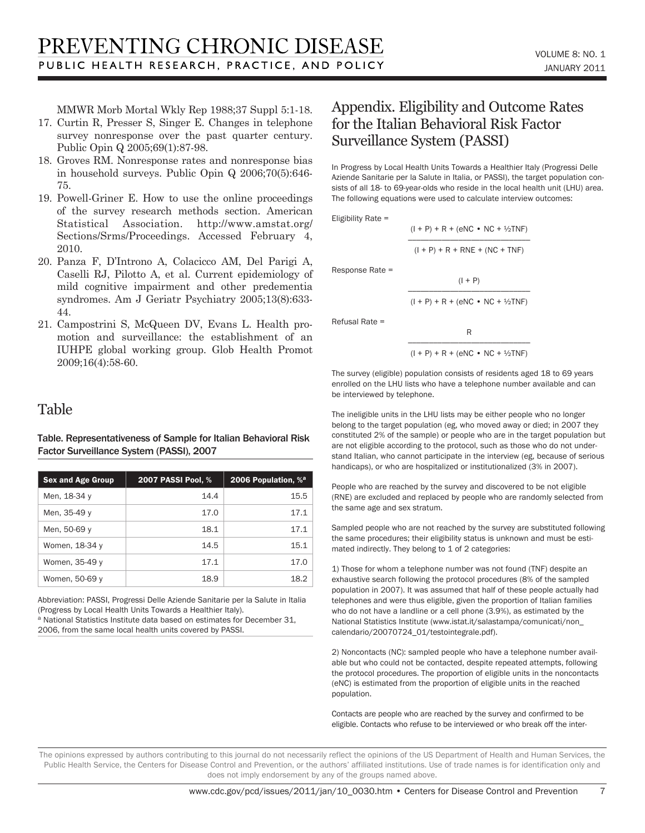MMWR Morb Mortal Wkly Rep 1988;37 Suppl 5:1-18.

- 17. Curtin R, Presser S, Singer E. Changes in telephone survey nonresponse over the past quarter century. Public Opin Q 2005;69(1):87-98.
- 18. Groves RM. Nonresponse rates and nonresponse bias in household surveys. Public Opin Q 2006;70(5):646- 75.
- 19. Powell-Griner E. How to use the online proceedings of the survey research methods section. American Statistical Association. http://www.amstat.org/ Sections/Srms/Proceedings. Accessed February 4, 2010.
- 20. Panza F, D'Introno A, Colacicco AM, Del Parigi A, Caselli RJ, Pilotto A, et al. Current epidemiology of mild cognitive impairment and other predementia syndromes. Am J Geriatr Psychiatry 2005;13(8):633- 44.
- 21. Campostrini S, McQueen DV, Evans L. Health promotion and surveillance: the establishment of an IUHPE global working group. Glob Health Promot 2009;16(4):58-60.

#### Table

Table. Representativeness of Sample for Italian Behavioral Risk Factor Surveillance System (PASSI), 2007

| <b>Sex and Age Group</b> | 2007 PASSI Pool, % | 2006 Population, % <sup>a</sup> |
|--------------------------|--------------------|---------------------------------|
| Men, 18-34 y             | 14.4               | 15.5                            |
| Men, 35-49 y             | 17.0               | 17.1                            |
| Men, 50-69 y             | 18.1               | 17.1                            |
| Women, 18-34 y           | 14.5               | 15.1                            |
| Women, 35-49 y           | 17.1               | 17.0                            |
| Women, 50-69 y           | 18.9               | 18.2                            |

Abbreviation: PASSI, Progressi Delle Aziende Sanitarie per la Salute in Italia (Progress by Local Health Units Towards a Healthier Italy).

a National Statistics Institute data based on estimates for December 31, 2006, from the same local health units covered by PASSI.

## Appendix. Eligibility and Outcome Rates for the Italian Behavioral Risk Factor Surveillance System (PASSI)

In Progress by Local Health Units Towards a Healthier Italy (Progressi Delle Aziende Sanitarie per la Salute in Italia, or PASSI), the target population consists of all 18- to 69-year-olds who reside in the local health unit (LHU) area. The following equations were used to calculate interview outcomes:

> $(I + P) + R + (eNC \cdot NC + 1/2TNF)$ \_\_\_\_\_\_\_\_\_\_\_\_\_\_\_\_\_\_\_\_\_\_\_\_\_\_\_\_\_  $(I + P) + R + RNE + (NC + TNF)$

Eligibility Rate =

Response Rate =

$$
\frac{(1+P)}{(1+P) + R + (eNC + NC + \frac{1}{2}TNF)}
$$

Refusal Rate =

$$
\frac{R}{(I+P) + R + (eNC \cdot NC + \frac{1}{2}TNF)}
$$

The survey (eligible) population consists of residents aged 18 to 69 years enrolled on the LHU lists who have a telephone number available and can be interviewed by telephone.

The ineligible units in the LHU lists may be either people who no longer belong to the target population (eg, who moved away or died; in 2007 they constituted 2% of the sample) or people who are in the target population but are not eligible according to the protocol, such as those who do not understand Italian, who cannot participate in the interview (eg, because of serious handicaps), or who are hospitalized or institutionalized (3% in 2007).

People who are reached by the survey and discovered to be not eligible (RNE) are excluded and replaced by people who are randomly selected from the same age and sex stratum.

Sampled people who are not reached by the survey are substituted following the same procedures; their eligibility status is unknown and must be estimated indirectly. They belong to 1 of 2 categories:

1) Those for whom a telephone number was not found (TNF) despite an exhaustive search following the protocol procedures (8% of the sampled population in 2007). It was assumed that half of these people actually had telephones and were thus eligible, given the proportion of Italian families who do not have a landline or a cell phone (3.9%), as estimated by the National Statistics Institute (www.istat.it/salastampa/comunicati/non\_ calendario/20070724\_01/testointegrale.pdf).

2) Noncontacts (NC): sampled people who have a telephone number available but who could not be contacted, despite repeated attempts, following the protocol procedures. The proportion of eligible units in the noncontacts (eNC) is estimated from the proportion of eligible units in the reached population.

Contacts are people who are reached by the survey and confirmed to be eligible. Contacts who refuse to be interviewed or who break off the inter-

The opinions expressed by authors contributing to this journal do not necessarily reflect the opinions of the US Department of Health and Human Services, the Public Health Service, the Centers for Disease Control and Prevention, or the authors' affiliated institutions. Use of trade names is for identification only and does not imply endorsement by any of the groups named above.